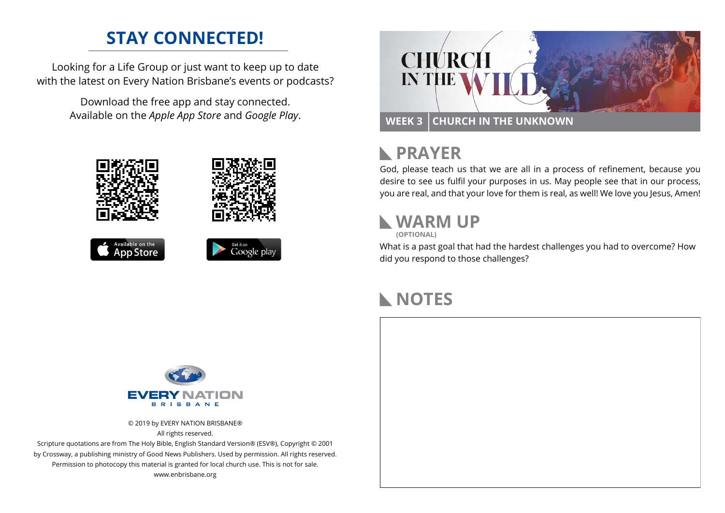#### **STAY CONNECTED!**

Looking for a Life Group or just want to keep up to date with the latest on Every Nation Brisbane's events or podcasts?

> Download the free app and stay connected. Available on the *Apple App Store* and *Google Play*.





### **RAYER**

God, please teach us that we are all in a process of refinement, because you desire to see us fulfil your purposes in us. May people see that in our process, you are real, and that your love for them is real, as well! We love you Jesus, Amen!

#### **WARM UP**

**(OPTIONAL)**

What is a past goal that had the hardest challenges you had to overcome? How did you respond to those challenges?

### **NOTES**



© 2019 by EVERY NATION BRISBANE® All rights reserved.

Scripture quotations are from The Holy Bible, English Standard Version® (ESV®), Copyright © 2001 by Crossway, a publishing ministry of Good News Publishers. Used by permission. All rights reserved. Permission to photocopy this material is granted for local church use. This is not for sale. www.enbrisbane.org